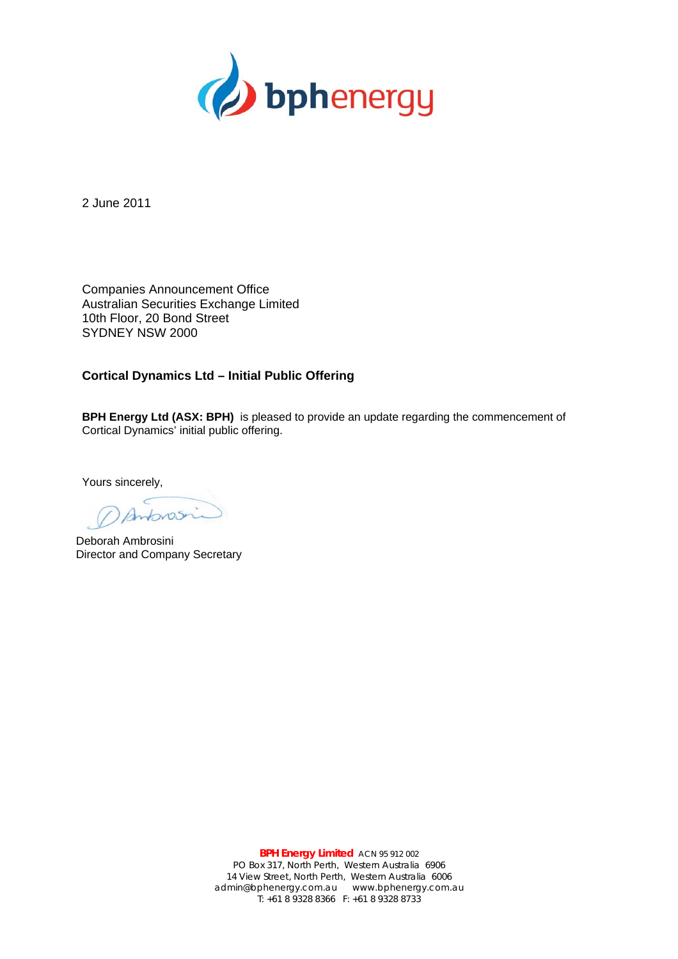

2 June 2011

Companies Announcement Office Australian Securities Exchange Limited 10th Floor, 20 Bond Street SYDNEY NSW 2000

## **Cortical Dynamics Ltd – Initial Public Offering**

**BPH Energy Ltd (ASX: BPH)** is pleased to provide an update regarding the commencement of Cortical Dynamics' initial public offering.

Yours sincerely,

Deborah Ambrosini Director and Company Secretary

**BPH Energy Limited** ACN 95 912 002 PO Box 317, North Perth, Western Australia 6906 14 View Street, North Perth, Western Australia 6006 admin@bphenergy.com.au www.bphenergy.com.au T: +61 8 9328 8366 F: +61 8 9328 8733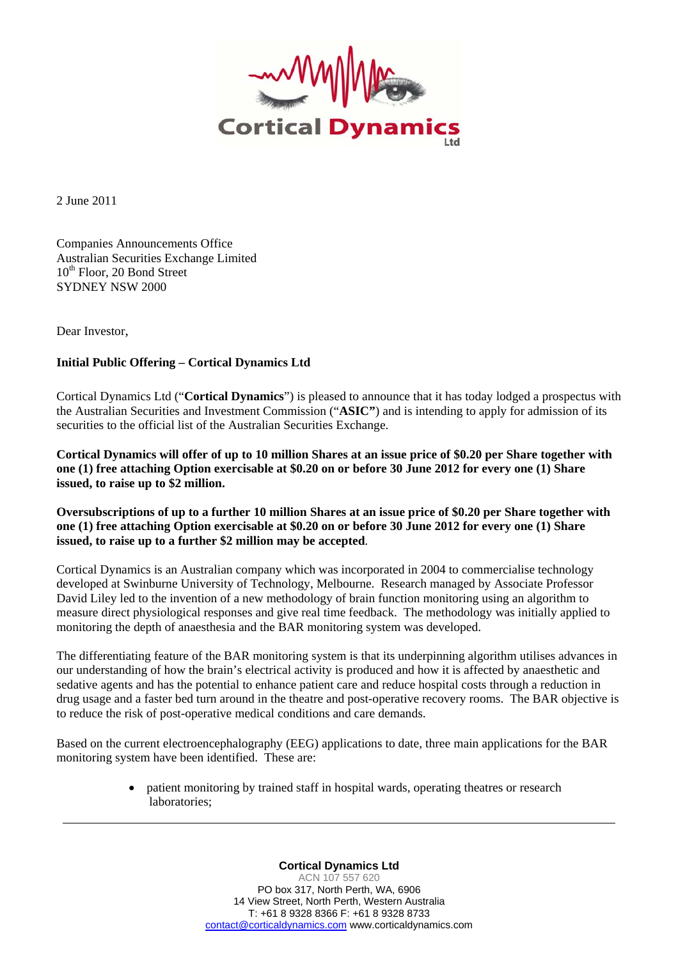

2 June 2011

Companies Announcements Office Australian Securities Exchange Limited  $10^{th}$  Floor, 20 Bond Street SYDNEY NSW 2000

Dear Investor,

## **Initial Public Offering – Cortical Dynamics Ltd**

Cortical Dynamics Ltd ("**Cortical Dynamics**") is pleased to announce that it has today lodged a prospectus with the Australian Securities and Investment Commission ("**ASIC"**) and is intending to apply for admission of its securities to the official list of the Australian Securities Exchange.

**Cortical Dynamics will offer of up to 10 million Shares at an issue price of \$0.20 per Share together with one (1) free attaching Option exercisable at \$0.20 on or before 30 June 2012 for every one (1) Share issued, to raise up to \$2 million.** 

**Oversubscriptions of up to a further 10 million Shares at an issue price of \$0.20 per Share together with one (1) free attaching Option exercisable at \$0.20 on or before 30 June 2012 for every one (1) Share issued, to raise up to a further \$2 million may be accepted**.

Cortical Dynamics is an Australian company which was incorporated in 2004 to commercialise technology developed at Swinburne University of Technology, Melbourne. Research managed by Associate Professor David Liley led to the invention of a new methodology of brain function monitoring using an algorithm to measure direct physiological responses and give real time feedback. The methodology was initially applied to monitoring the depth of anaesthesia and the BAR monitoring system was developed.

The differentiating feature of the BAR monitoring system is that its underpinning algorithm utilises advances in our understanding of how the brain's electrical activity is produced and how it is affected by anaesthetic and sedative agents and has the potential to enhance patient care and reduce hospital costs through a reduction in drug usage and a faster bed turn around in the theatre and post-operative recovery rooms. The BAR objective is to reduce the risk of post-operative medical conditions and care demands.

Based on the current electroencephalography (EEG) applications to date, three main applications for the BAR monitoring system have been identified. These are:

> patient monitoring by trained staff in hospital wards, operating theatres or research laboratories;

> > **Cortical Dynamics Ltd**  ACN 107 557 620 PO box 317, North Perth, WA, 6906 14 View Street, North Perth, Western Australia T: +61 8 9328 8366 F: +61 8 9328 8733 contact@corticaldynamics.com www.corticaldynamics.com